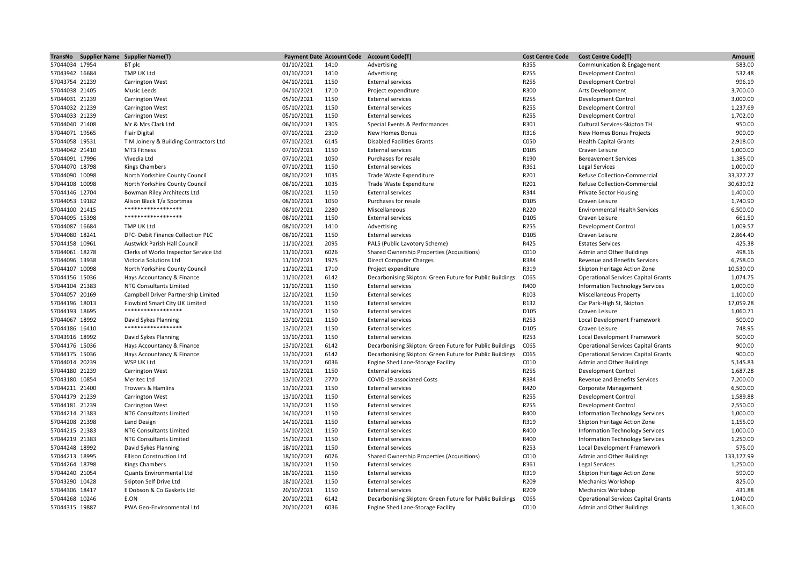|                                  | TransNo Supplier Name Supplier Name(T)               |            | <b>Payment Date Account Code</b> | <b>Account Code(T)</b>                                   | <b>Cost Centre Code</b> | <b>Cost Centre Code(T)</b>                 | Amount                |
|----------------------------------|------------------------------------------------------|------------|----------------------------------|----------------------------------------------------------|-------------------------|--------------------------------------------|-----------------------|
| 57044034 17954                   | BT plc                                               | 01/10/2021 | 1410                             | Advertising                                              | R355                    | Communication & Engagement                 | 583.00                |
| 57043942 16684                   | TMP UK Ltd                                           | 01/10/2021 | 1410                             | Advertising                                              | R255                    | <b>Development Control</b>                 | 532.48                |
| 57043754 21239                   | Carrington West                                      | 04/10/2021 | 1150                             | <b>External services</b>                                 | R255                    | Development Control                        | 996.19                |
| 57044038 21405                   | Music Leeds                                          | 04/10/2021 | 1710                             | Project expenditure                                      | R300                    | Arts Development                           | 3,700.00              |
| 57044031 21239                   | Carrington West                                      | 05/10/2021 | 1150                             | <b>External services</b>                                 | R255                    | Development Control                        | 3,000.00              |
| 57044032 21239                   | Carrington West                                      | 05/10/2021 | 1150                             | <b>External services</b>                                 | R255                    | Development Control                        | 1,237.69              |
| 57044033 21239                   | Carrington West                                      | 05/10/2021 | 1150                             | <b>External services</b>                                 | R255                    | Development Control                        | 1,702.00              |
| 57044040 21408                   | Mr & Mrs Clark Ltd                                   | 06/10/2021 | 1305                             | Special Events & Performances                            | R301                    | Cultural Services-Skipton TH               | 950.00                |
| 57044071 19565                   | <b>Flair Digital</b>                                 | 07/10/2021 | 2310                             | New Homes Bonus                                          | R316                    | New Homes Bonus Projects                   | 900.00                |
| 57044058 19531                   | T M Joinery & Building Contractors Ltd               | 07/10/2021 | 6145                             | <b>Disabled Facilities Grants</b>                        | C050                    | <b>Health Capital Grants</b>               | 2,918.00              |
| 57044042 21410                   | MT3 Fitness                                          | 07/10/2021 | 1150                             | <b>External services</b>                                 | D105                    | Craven Leisure                             | 1,000.00              |
| 57044091 17996                   | Vivedia Ltd                                          | 07/10/2021 | 1050                             | Purchases for resale                                     | R190                    | <b>Bereavement Services</b>                | 1,385.00              |
| 57044070 18798                   | <b>Kings Chambers</b>                                | 07/10/2021 | 1150                             | <b>External services</b>                                 | R361                    | Legal Services                             | 1,000.00              |
| 57044090 10098                   | North Yorkshire County Council                       | 08/10/2021 | 1035                             | Trade Waste Expenditure                                  | R201                    | Refuse Collection-Commercial               | 33,377.27             |
| 57044108 10098                   | North Yorkshire County Council                       | 08/10/2021 | 1035                             | Trade Waste Expenditure                                  | R201                    | Refuse Collection-Commercial               | 30,630.92             |
| 57044146 12704                   | Bowman Riley Architects Ltd                          | 08/10/2021 | 1150                             | <b>External services</b>                                 | R344                    | <b>Private Sector Housing</b>              | 1,400.00              |
| 57044053 19182                   | Alison Black T/a Sportmax                            | 08/10/2021 | 1050                             | Purchases for resale                                     | D105                    | Craven Leisure                             | 1,740.90              |
| 57044100 21415                   | ******************                                   | 08/10/2021 | 2280                             | Miscellaneous                                            | R220                    | <b>Environmental Health Services</b>       | 6,500.00              |
| 57044095 15398                   | ******************                                   | 08/10/2021 | 1150                             | <b>External services</b>                                 | D105                    | Craven Leisure                             | 661.50                |
| 57044087 16684                   | TMP UK Ltd                                           | 08/10/2021 | 1410                             | Advertising                                              | R255                    | Development Control                        | 1,009.57              |
| 57044080 18241                   | DFC- Debit Finance Collection PLC                    | 08/10/2021 | 1150                             | <b>External services</b>                                 | D <sub>105</sub>        | Craven Leisure                             | 2,864.40              |
| 57044158 10961                   | Austwick Parish Hall Council                         | 11/10/2021 | 2095                             | PALS (Public Lavotory Scheme)                            | R425                    | <b>Estates Services</b>                    | 425.38                |
| 57044061 18278                   | Clerks of Works Inspector Service Ltd                | 11/10/2021 | 6026                             | Shared Ownership Properties (Acqusitions)                | C010                    | Admin and Other Buildings                  | 498.16                |
| 57044096 13938                   | Victoria Solutions Ltd                               | 11/10/2021 | 1975                             | <b>Direct Computer Charges</b>                           | R384                    | Revenue and Benefits Services              | 6,758.00              |
| 57044107 10098                   | North Yorkshire County Council                       | 11/10/2021 | 1710                             | Project expenditure                                      | R319                    | Skipton Heritage Action Zone               | 10,530.00             |
| 57044156 15036                   | Hays Accountancy & Finance                           | 11/10/2021 | 6142                             | Decarbonising Skipton: Green Future for Public Buildings | C065                    | <b>Operational Services Capital Grants</b> | 1,074.75              |
| 57044104 21383                   | NTG Consultants Limited                              | 11/10/2021 | 1150                             | <b>External services</b>                                 | R400                    | <b>Information Technology Services</b>     | 1,000.00              |
|                                  |                                                      |            | 1150                             | <b>External services</b>                                 |                         |                                            |                       |
| 57044057 20169                   | Campbell Driver Partnership Limited                  | 12/10/2021 |                                  |                                                          | R103                    | <b>Miscellaneous Property</b>              | 1,100.00              |
| 57044196 18013<br>57044193 18695 | Flowbird Smart City UK Limited<br>****************** | 13/10/2021 | 1150<br>1150                     | <b>External services</b>                                 | R132<br>D105            | Car Park-High St, Skipton                  | 17,059.28<br>1,060.71 |
|                                  |                                                      | 13/10/2021 |                                  | <b>External services</b>                                 |                         | Craven Leisure                             |                       |
| 57044067 18992                   | David Sykes Planning<br>******************           | 13/10/2021 | 1150                             | <b>External services</b>                                 | R253                    | Local Development Framework                | 500.00                |
| 57044186 16410                   |                                                      | 13/10/2021 | 1150                             | <b>External services</b>                                 | D105                    | Craven Leisure                             | 748.95                |
| 57043916 18992                   | David Sykes Planning                                 | 13/10/2021 | 1150                             | <b>External services</b>                                 | R253                    | Local Development Framework                | 500.00                |
| 57044176 15036                   | Hays Accountancy & Finance                           | 13/10/2021 | 6142                             | Decarbonising Skipton: Green Future for Public Buildings | C065                    | <b>Operational Services Capital Grants</b> | 900.00                |
| 57044175 15036                   | Hays Accountancy & Finance                           | 13/10/2021 | 6142                             | Decarbonising Skipton: Green Future for Public Buildings | C065                    | <b>Operational Services Capital Grants</b> | 900.00                |
| 57044014 20239                   | WSP UK Ltd.                                          | 13/10/2021 | 6036                             | Engine Shed Lane-Storage Facility                        | C010                    | Admin and Other Buildings                  | 5,145.83              |
| 57044180 21239                   | Carrington West                                      | 13/10/2021 | 1150                             | <b>External services</b>                                 | R255                    | Development Control                        | 1,687.28              |
| 57043180 10854                   | Meritec Ltd                                          | 13/10/2021 | 2770                             | COVID-19 associated Costs                                | R384                    | Revenue and Benefits Services              | 7,200.00              |
| 57044211 21400                   | Trowers & Hamlins                                    | 13/10/2021 | 1150                             | <b>External services</b>                                 | R420                    | Corporate Management                       | 6,500.00              |
| 57044179 21239                   | Carrington West                                      | 13/10/2021 | 1150                             | <b>External services</b>                                 | R255                    | Development Control                        | 1,589.88              |
| 57044181 21239                   | Carrington West                                      | 13/10/2021 | 1150                             | <b>External services</b>                                 | R255                    | Development Control                        | 2,550.00              |
| 57044214 21383                   | NTG Consultants Limited                              | 14/10/2021 | 1150                             | <b>External services</b>                                 | R400                    | <b>Information Technology Services</b>     | 1,000.00              |
| 57044208 21398                   | Land Design                                          | 14/10/2021 | 1150                             | <b>External services</b>                                 | R319                    | Skipton Heritage Action Zone               | 1,155.00              |
| 57044215 21383                   | NTG Consultants Limited                              | 14/10/2021 | 1150                             | <b>External services</b>                                 | R400                    | Information Technology Services            | 1,000.00              |
| 57044219 21383                   | NTG Consultants Limited                              | 15/10/2021 | 1150                             | <b>External services</b>                                 | R400                    | Information Technology Services            | 1,250.00              |
| 57044248 18992                   | David Sykes Planning                                 | 18/10/2021 | 1150                             | <b>External services</b>                                 | R253                    | Local Development Framework                | 575.00                |
| 57044213 18995                   | <b>Ellison Construction Ltd</b>                      | 18/10/2021 | 6026                             | Shared Ownership Properties (Acqusitions)                | C010                    | Admin and Other Buildings                  | 133,177.99            |
| 57044264 18798                   | <b>Kings Chambers</b>                                | 18/10/2021 | 1150                             | <b>External services</b>                                 | R361                    | Legal Services                             | 1,250.00              |
| 57044240 21054                   | Quants Environmental Ltd                             | 18/10/2021 | 1150                             | <b>External services</b>                                 | R319                    | Skipton Heritage Action Zone               | 590.00                |
| 57043290 10428                   | Skipton Self Drive Ltd                               | 18/10/2021 | 1150                             | <b>External services</b>                                 | R209                    | <b>Mechanics Workshop</b>                  | 825.00                |
| 57044306 18417                   | E Dobson & Co Gaskets Ltd                            | 20/10/2021 | 1150                             | <b>External services</b>                                 | R209                    | <b>Mechanics Workshop</b>                  | 431.88                |
| 57044268 10246                   | E.ON                                                 | 20/10/2021 | 6142                             | Decarbonising Skipton: Green Future for Public Buildings | C065                    | <b>Operational Services Capital Grants</b> | 1,040.00              |
| 57044315 19887                   | PWA Geo-Environmental Ltd                            | 20/10/2021 | 6036                             | Engine Shed Lane-Storage Facility                        | C010                    | Admin and Other Buildings                  | 1,306.00              |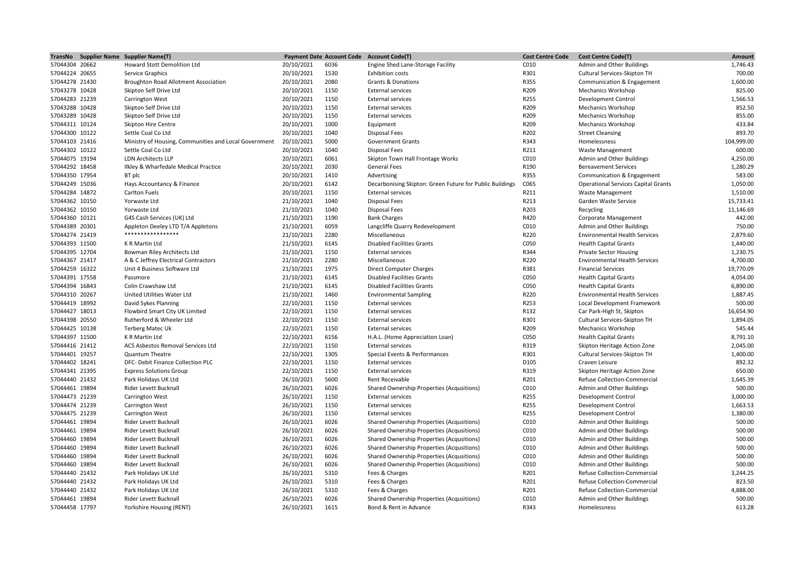|                | TransNo Supplier Name Supplier Name(T)                |            | <b>Payment Date Account Code</b> | <b>Account Code(T)</b>                                   | <b>Cost Centre Code</b> | <b>Cost Centre Code(T)</b>                                   | Amount             |
|----------------|-------------------------------------------------------|------------|----------------------------------|----------------------------------------------------------|-------------------------|--------------------------------------------------------------|--------------------|
| 57044304 20662 | Howard Stott Demolition Ltd                           | 20/10/2021 | 6036                             | Engine Shed Lane-Storage Facility                        | C010                    | Admin and Other Buildings                                    | 1,746.43           |
| 57044224 20655 | Service Graphics                                      | 20/10/2021 | 1530                             | <b>Exhibition costs</b>                                  | R301                    | Cultural Services-Skipton TH                                 | 700.00             |
| 57044278 21430 | Broughton Road Allotment Association                  | 20/10/2021 | 2080                             | Grants & Donations                                       | R355                    | Communication & Engagement                                   | 1,600.00           |
| 57043278 10428 | Skipton Self Drive Ltd                                | 20/10/2021 | 1150                             | <b>External services</b>                                 | R209                    | <b>Mechanics Workshop</b>                                    | 825.00             |
| 57044283 21239 | <b>Carrington West</b>                                | 20/10/2021 | 1150                             | <b>External services</b>                                 | R255                    | Development Control                                          | 1,566.53           |
| 57043288 10428 | Skipton Self Drive Ltd                                | 20/10/2021 | 1150                             | <b>External services</b>                                 | R209                    | <b>Mechanics Workshop</b>                                    | 852.50             |
| 57043289 10428 | Skipton Self Drive Ltd                                | 20/10/2021 | 1150                             | <b>External services</b>                                 | R209                    | <b>Mechanics Workshop</b>                                    | 855.00             |
| 57044311 10124 | <b>Skipton Hire Centre</b>                            | 20/10/2021 | 1000                             | Equipment                                                | R209                    | <b>Mechanics Workshop</b>                                    | 433.84             |
| 57044300 10122 | Settle Coal Co Ltd                                    | 20/10/2021 | 1040                             | Disposal Fees                                            | R202                    | <b>Street Cleansing</b>                                      | 893.70             |
| 57044103 21416 | Ministry of Housing, Communities and Local Government | 20/10/2021 | 5000                             | <b>Government Grants</b>                                 | R343                    | Homelessness                                                 | 104,999.00         |
| 57044302 10122 | Settle Coal Co Ltd                                    | 20/10/2021 | 1040                             | <b>Disposal Fees</b>                                     | R211                    | <b>Waste Management</b>                                      | 600.00             |
| 57044075 19194 | <b>LDN Architects LLP</b>                             | 20/10/2021 | 6061                             | Skipton Town Hall Frontage Works                         | C010                    | Admin and Other Buildings                                    | 4,250.00           |
| 57044292 18458 | Ilkley & Wharfedale Medical Practice                  | 20/10/2021 | 2030                             | <b>General Fees</b>                                      | R190                    | <b>Bereavement Services</b>                                  | 1,280.29           |
| 57044350 17954 | BT plc                                                | 20/10/2021 | 1410                             | Advertising                                              | R355                    | Communication & Engagement                                   | 583.00             |
| 57044249 15036 | Hays Accountancy & Finance                            | 20/10/2021 | 6142                             | Decarbonising Skipton: Green Future for Public Buildings | C065                    | <b>Operational Services Capital Grants</b>                   | 1,050.00           |
| 57044284 14872 | Carlton Fuels                                         | 20/10/2021 | 1150                             | <b>External services</b>                                 | R211                    | <b>Waste Management</b>                                      | 1,510.00           |
| 57044362 10150 | Yorwaste Ltd                                          | 21/10/2021 | 1040                             | <b>Disposal Fees</b>                                     | R213                    | Garden Waste Service                                         | 15,733.41          |
| 57044362 10150 | Yorwaste Ltd                                          | 21/10/2021 | 1040                             | <b>Disposal Fees</b>                                     | R203                    | Recycling                                                    | 11,146.69          |
| 57044360 10121 | G4S Cash Services (UK) Ltd                            | 21/10/2021 | 1190                             | <b>Bank Charges</b>                                      | R420                    | Corporate Management                                         | 442.00             |
| 57044389 20301 | Appleton Deeley LTD T/A Appletons                     | 21/10/2021 | 6059                             | Langcliffe Quarry Redevelopment                          | C010                    | Admin and Other Buildings                                    | 750.00             |
| 57044274 21419 | *****************                                     | 21/10/2021 | 2280                             | Miscellaneous                                            | R220                    | <b>Environmental Health Services</b>                         | 2,879.60           |
| 57044393 11500 | K R Martin Ltd                                        | 21/10/2021 | 6145                             | <b>Disabled Facilities Grants</b>                        | C050                    | <b>Health Capital Grants</b>                                 | 1,440.00           |
| 57044395 12704 | Bowman Riley Architects Ltd                           | 21/10/2021 | 1150                             | <b>External services</b>                                 | R344                    | <b>Private Sector Housing</b>                                | 1,230.75           |
| 57044367 21417 | A & C Jeffrey Electrical Contractors                  | 21/10/2021 | 2280                             | Miscellaneous                                            | R220                    | <b>Environmental Health Services</b>                         | 4,700.00           |
| 57044259 16322 | Unit 4 Business Software Ltd                          | 21/10/2021 | 1975                             | <b>Direct Computer Charges</b>                           | R381                    | <b>Financial Services</b>                                    | 19,770.09          |
| 57044391 17558 | Passmore                                              | 21/10/2021 | 6145                             | <b>Disabled Facilities Grants</b>                        | C050                    | <b>Health Capital Grants</b>                                 | 4,054.00           |
| 57044394 16843 | Colin Crawshaw Ltd                                    | 21/10/2021 | 6145                             | <b>Disabled Facilities Grants</b>                        | C050                    | <b>Health Capital Grants</b>                                 | 6,890.00           |
| 57044310 20267 | United Utilities Water Ltd                            | 21/10/2021 | 1460                             | <b>Environmental Sampling</b>                            | R220                    | <b>Environmental Health Services</b>                         | 1,887.45           |
| 57044419 18992 | David Sykes Planning                                  | 22/10/2021 | 1150                             | <b>External services</b>                                 | R253                    | Local Development Framework                                  | 500.00             |
| 57044427 18013 | Flowbird Smart City UK Limited                        | 22/10/2021 | 1150                             | <b>External services</b>                                 | R132                    | Car Park-High St, Skipton                                    | 16,654.90          |
| 57044398 20550 | Rutherford & Wheeler Ltd                              | 22/10/2021 | 1150                             | <b>External services</b>                                 | R301                    | Cultural Services-Skipton TH                                 | 1,894.05           |
| 57044425 10138 | <b>Terberg Matec Uk</b>                               | 22/10/2021 | 1150                             | <b>External services</b>                                 | R209                    | <b>Mechanics Workshop</b>                                    | 545.44             |
| 57044397 11500 | K R Martin Ltd                                        | 22/10/2021 | 6156                             | H.A.L. (Home Appreciation Loan)                          | C050                    | <b>Health Capital Grants</b>                                 | 8,791.10           |
| 57044416 21412 | ACS Asbestos Removal Services Ltd                     | 22/10/2021 | 1150                             | <b>External services</b>                                 | R319                    | Skipton Heritage Action Zone                                 | 2,045.00           |
| 57044401 19257 | <b>Quantum Theatre</b>                                | 22/10/2021 | 1305                             | Special Events & Performances                            | R301                    | Cultural Services-Skipton TH                                 | 1,400.00           |
| 57044402 18241 | DFC- Debit Finance Collection PLC                     | 22/10/2021 | 1150                             | <b>External services</b>                                 | D105                    | Craven Leisure                                               | 892.32             |
| 57044341 21395 | <b>Express Solutions Group</b>                        | 22/10/2021 | 1150                             | <b>External services</b>                                 | R319                    |                                                              | 650.00             |
| 57044440 21432 |                                                       | 26/10/2021 | 5600                             | Rent Receivable                                          | R201                    | Skipton Heritage Action Zone<br>Refuse Collection-Commercial | 1,645.39           |
| 57044461 19894 | Park Holidays UK Ltd<br>Rider Levett Bucknall         | 26/10/2021 | 6026                             | Shared Ownership Properties (Acqusitions)                | C010                    | Admin and Other Buildings                                    | 500.00             |
| 57044473 21239 | Carrington West                                       | 26/10/2021 | 1150                             | <b>External services</b>                                 | R255                    | Development Control                                          | 3,000.00           |
|                |                                                       | 26/10/2021 | 1150                             |                                                          | R255                    |                                                              | 1,663.53           |
| 57044474 21239 | Carrington West                                       |            |                                  | <b>External services</b>                                 |                         | Development Control                                          |                    |
| 57044475 21239 | <b>Carrington West</b>                                | 26/10/2021 | 1150<br>6026                     | <b>External services</b>                                 | R255<br>C010            | Development Control                                          | 1,380.00<br>500.00 |
| 57044461 19894 | Rider Levett Bucknall                                 | 26/10/2021 |                                  | Shared Ownership Properties (Acqusitions)                |                         | Admin and Other Buildings                                    |                    |
| 57044461 19894 | Rider Levett Bucknall                                 | 26/10/2021 | 6026                             | Shared Ownership Properties (Acqusitions)                | C010                    | Admin and Other Buildings                                    | 500.00             |
| 57044460 19894 | Rider Levett Bucknall                                 | 26/10/2021 | 6026                             | Shared Ownership Properties (Acqusitions)                | C010                    | Admin and Other Buildings                                    | 500.00             |
| 57044460 19894 | Rider Levett Bucknall                                 | 26/10/2021 | 6026                             | Shared Ownership Properties (Acqusitions)                | C010                    | Admin and Other Buildings                                    | 500.00             |
| 57044460 19894 | Rider Levett Bucknall                                 | 26/10/2021 | 6026                             | Shared Ownership Properties (Acqusitions)                | C010                    | Admin and Other Buildings                                    | 500.00             |
| 57044460 19894 | Rider Levett Bucknall                                 | 26/10/2021 | 6026                             | Shared Ownership Properties (Acqusitions)                | C010                    | Admin and Other Buildings                                    | 500.00             |
| 57044440 21432 | Park Holidays UK Ltd                                  | 26/10/2021 | 5310                             | Fees & Charges                                           | R201                    | Refuse Collection-Commercial                                 | 3,244.25           |
| 57044440 21432 | Park Holidays UK Ltd                                  | 26/10/2021 | 5310                             | Fees & Charges                                           | R201                    | Refuse Collection-Commercial                                 | 823.50             |
| 57044440 21432 | Park Holidays UK Ltd                                  | 26/10/2021 | 5310                             | Fees & Charges                                           | R201                    | Refuse Collection-Commercial                                 | 4,888.00           |
| 57044461 19894 | Rider Levett Bucknall                                 | 26/10/2021 | 6026                             | Shared Ownership Properties (Acqusitions)                | C010                    | Admin and Other Buildings                                    | 500.00             |
| 57044458 17797 | Yorkshire Housing (RENT)                              | 26/10/2021 | 1615                             | Bond & Rent in Advance                                   | R343                    | Homelessness                                                 | 613.28             |